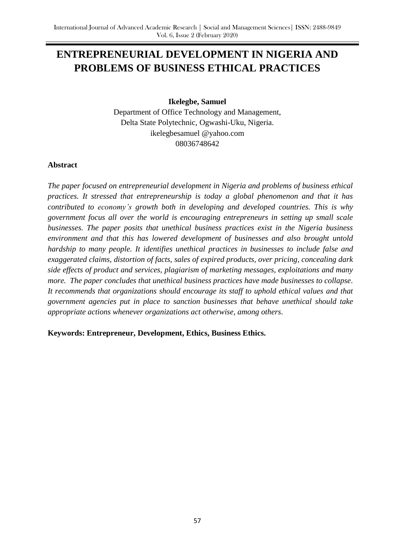# **ENTREPRENEURIAL DEVELOPMENT IN NIGERIA AND PROBLEMS OF BUSINESS ETHICAL PRACTICES**

**Ikelegbe, Samuel**

Department of Office Technology and Management, Delta State Polytechnic, Ogwashi-Uku, Nigeria. ikelegbesamuel @yahoo.com 08036748642

## **Abstract**

*The paper focused on entrepreneurial development in Nigeria and problems of business ethical practices. It stressed that entrepreneurship is today a global phenomenon and that it has contributed to economy's growth both in developing and developed countries. This is why government focus all over the world is encouraging entrepreneurs in setting up small scale businesses. The paper posits that unethical business practices exist in the Nigeria business environment and that this has lowered development of businesses and also brought untold hardship to many people. It identifies unethical practices in businesses to include false and exaggerated claims, distortion of facts, sales of expired products, over pricing, concealing dark side effects of product and services, plagiarism of marketing messages, exploitations and many more. The paper concludes that unethical business practices have made businesses to collapse. It recommends that organizations should encourage its staff to uphold ethical values and that government agencies put in place to sanction businesses that behave unethical should take appropriate actions whenever organizations act otherwise, among others*.

**Keywords: Entrepreneur, Development, Ethics, Business Ethics.**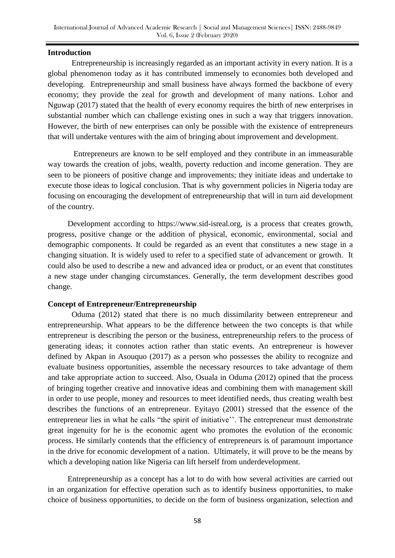#### **Introduction**

 Entrepreneurship is increasingly regarded as an important activity in every nation. It is a global phenomenon today as it has contributed immensely to economies both developed and developing. Entrepreneurship and small business have always formed the backbone of every economy; they provide the zeal for growth and development of many nations. Lohor and Nguwap (2017) stated that the health of every economy requires the birth of new enterprises in substantial number which can challenge existing ones in such a way that triggers innovation. However, the birth of new enterprises can only be possible with the existence of entrepreneurs that will undertake ventures with the aim of bringing about improvement and development.

 Entrepreneurs are known to be self employed and they contribute in an immeasurable way towards the creation of jobs, wealth, poverty reduction and income generation. They are seen to be pioneers of positive change and improvements; they initiate ideas and undertake to execute those ideas to logical conclusion. That is why government policies in Nigeria today are focusing on encouraging the development of entrepreneurship that will in turn aid development of the country.

 Development according to https://www.sid-isreal.org, is a process that creates growth, progress, positive change or the addition of physical, economic, environmental, social and demographic components. It could be regarded as an event that constitutes a new stage in a changing situation. It is widely used to refer to a specified state of advancement or growth. It could also be used to describe a new and advanced idea or product, or an event that constitutes a new stage under changing circumstances. Generally, the term development describes good change.

#### **Concept of Entrepreneur/Entrepreneurship**

 Oduma (2012) stated that there is no much dissimilarity between entrepreneur and entrepreneurship. What appears to be the difference between the two concepts is that while entrepreneur is describing the person or the business, entrepreneurship refers to the process of generating ideas; it connotes action rather than static events. An entrepreneur is however defined by Akpan in Asouquo (2017) as a person who possesses the ability to recognize and evaluate business opportunities, assemble the necessary resources to take advantage of them and take appropriate action to succeed. Also, Osuala in Oduma (2012) opined that the process of bringing together creative and innovative ideas and combining them with management skill in order to use people, money and resources to meet identified needs, thus creating wealth best describes the functions of an entrepreneur. Eyitayo (2001) stressed that the essence of the entrepreneur lies in what he calls "the spirit of initiative''. The entrepreneur must demonstrate great ingenuity for he is the economic agent who promotes the evolution of the economic process. He similarly contends that the efficiency of entrepreneurs is of paramount importance in the drive for economic development of a nation. Ultimately, it will prove to be the means by which a developing nation like Nigeria can lift herself from underdevelopment.

 Entrepreneurship as a concept has a lot to do with how several activities are carried out in an organization for effective operation such as to identify business opportunities, to make choice of business opportunities, to decide on the form of business organization, selection and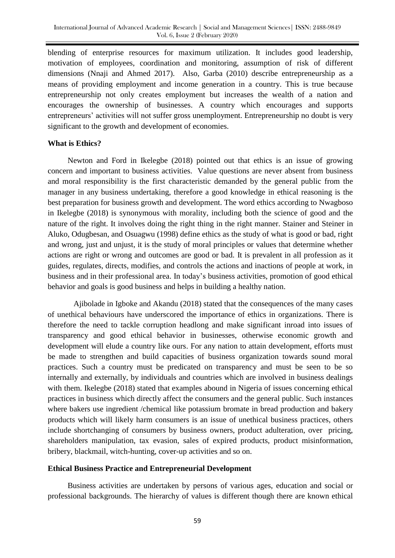blending of enterprise resources for maximum utilization. It includes good leadership, motivation of employees, coordination and monitoring, assumption of risk of different dimensions (Nnaji and Ahmed 2017). Also, Garba (2010) describe entrepreneurship as a means of providing employment and income generation in a country. This is true because entrepreneurship not only creates employment but increases the wealth of a nation and encourages the ownership of businesses. A country which encourages and supports entrepreneurs' activities will not suffer gross unemployment. Entrepreneurship no doubt is very significant to the growth and development of economies.

#### **What is Ethics?**

 Newton and Ford in Ikelegbe (2018) pointed out that ethics is an issue of growing concern and important to business activities. Value questions are never absent from business and moral responsibility is the first characteristic demanded by the general public from the manager in any business undertaking, therefore a good knowledge in ethical reasoning is the best preparation for business growth and development. The word ethics according to Nwagboso in Ikelegbe (2018) is synonymous with morality, including both the science of good and the nature of the right. It involves doing the right thing in the right manner. Stainer and Steiner in Aluko, Odugbesan, and Osuagwu (1998) define ethics as the study of what is good or bad, right and wrong, just and unjust, it is the study of moral principles or values that determine whether actions are right or wrong and outcomes are good or bad. It is prevalent in all profession as it guides, regulates, directs, modifies, and controls the actions and inactions of people at work, in business and in their professional area. In today's business activities, promotion of good ethical behavior and goals is good business and helps in building a healthy nation.

 Ajibolade in Igboke and Akandu (2018) stated that the consequences of the many cases of unethical behaviours have underscored the importance of ethics in organizations. There is therefore the need to tackle corruption headlong and make significant inroad into issues of transparency and good ethical behavior in businesses, otherwise economic growth and development will elude a country like ours. For any nation to attain development, efforts must be made to strengthen and build capacities of business organization towards sound moral practices. Such a country must be predicated on transparency and must be seen to be so internally and externally, by individuals and countries which are involved in business dealings with them. Ikelegbe (2018) stated that examples abound in Nigeria of issues concerning ethical practices in business which directly affect the consumers and the general public. Such instances where bakers use ingredient /chemical like potassium bromate in bread production and bakery products which will likely harm consumers is an issue of unethical business practices, others include shortchanging of consumers by business owners, product adulteration, over pricing, shareholders manipulation, tax evasion, sales of expired products, product misinformation, bribery, blackmail, witch-hunting, cover-up activities and so on.

#### **Ethical Business Practice and Entrepreneurial Development**

 Business activities are undertaken by persons of various ages, education and social or professional backgrounds. The hierarchy of values is different though there are known ethical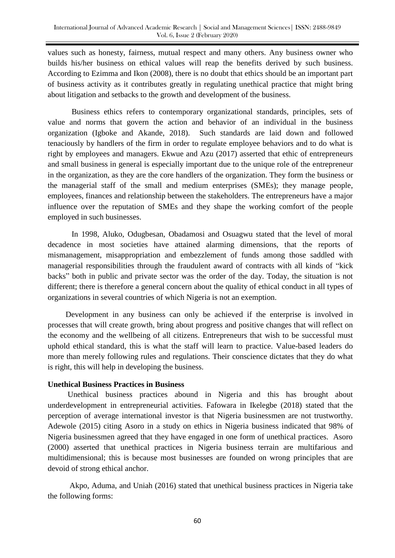values such as honesty, fairness, mutual respect and many others. Any business owner who builds his/her business on ethical values will reap the benefits derived by such business. According to Ezimma and Ikon (2008), there is no doubt that ethics should be an important part of business activity as it contributes greatly in regulating unethical practice that might bring about litigation and setbacks to the growth and development of the business.

 Business ethics refers to contemporary organizational standards, principles, sets of value and norms that govern the action and behavior of an individual in the business organization (Igboke and Akande, 2018). Such standards are laid down and followed tenaciously by handlers of the firm in order to regulate employee behaviors and to do what is right by employees and managers. Ekwue and Azu (2017) asserted that ethic of entrepreneurs and small business in general is especially important due to the unique role of the entrepreneur in the organization, as they are the core handlers of the organization. They form the business or the managerial staff of the small and medium enterprises (SMEs); they manage people, employees, finances and relationship between the stakeholders. The entrepreneurs have a major influence over the reputation of SMEs and they shape the working comfort of the people employed in such businesses.

 In 1998, Aluko, Odugbesan, Obadamosi and Osuagwu stated that the level of moral decadence in most societies have attained alarming dimensions, that the reports of mismanagement, misappropriation and embezzlement of funds among those saddled with managerial responsibilities through the fraudulent award of contracts with all kinds of "kick backs" both in public and private sector was the order of the day. Today, the situation is not different; there is therefore a general concern about the quality of ethical conduct in all types of organizations in several countries of which Nigeria is not an exemption.

 Development in any business can only be achieved if the enterprise is involved in processes that will create growth, bring about progress and positive changes that will reflect on the economy and the wellbeing of all citizens. Entrepreneurs that wish to be successful must uphold ethical standard, this is what the staff will learn to practice. Value-based leaders do more than merely following rules and regulations. Their conscience dictates that they do what is right, this will help in developing the business.

## **Unethical Business Practices in Business**

 Unethical business practices abound in Nigeria and this has brought about underdevelopment in entrepreneurial activities. Fafowara in Ikelegbe (2018) stated that the perception of average international investor is that Nigeria businessmen are not trustworthy. Adewole (2015) citing Asoro in a study on ethics in Nigeria business indicated that 98% of Nigeria businessmen agreed that they have engaged in one form of unethical practices. Asoro (2000) asserted that unethical practices in Nigeria business terrain are multifarious and multidimensional; this is because most businesses are founded on wrong principles that are devoid of strong ethical anchor.

 Akpo, Aduma, and Uniah (2016) stated that unethical business practices in Nigeria take the following forms: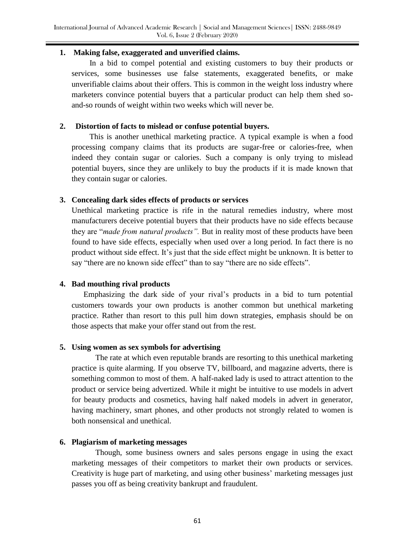#### **1. Making false, exaggerated and unverified claims.**

 In a bid to compel potential and existing customers to buy their products or services, some businesses use false statements, exaggerated benefits, or make unverifiable claims about their offers. This is common in the weight loss industry where marketers convince potential buyers that a particular product can help them shed soand-so rounds of weight within two weeks which will never be.

## **2. Distortion of facts to mislead or confuse potential buyers.**

 This is another unethical marketing practice. A typical example is when a food processing company claims that its products are sugar-free or calories-free, when indeed they contain sugar or calories. Such a company is only trying to mislead potential buyers, since they are unlikely to buy the products if it is made known that they contain sugar or calories.

# **3. Concealing dark sides effects of products or services**

 Unethical marketing practice is rife in the natural remedies industry, where most manufacturers deceive potential buyers that their products have no side effects because they are "*made from natural products".* But in reality most of these products have been found to have side effects, especially when used over a long period. In fact there is no product without side effect. It's just that the side effect might be unknown. It is better to say "there are no known side effect" than to say "there are no side effects".

# **4. Bad mouthing rival products**

Emphasizing the dark side of your rival's products in a bid to turn potential customers towards your own products is another common but unethical marketing practice. Rather than resort to this pull him down strategies, emphasis should be on those aspects that make your offer stand out from the rest.

## **5. Using women as sex symbols for advertising**

The rate at which even reputable brands are resorting to this unethical marketing practice is quite alarming. If you observe TV, billboard, and magazine adverts, there is something common to most of them. A half-naked lady is used to attract attention to the product or service being advertized. While it might be intuitive to use models in advert for beauty products and cosmetics, having half naked models in advert in generator, having machinery, smart phones, and other products not strongly related to women is both nonsensical and unethical.

## **6. Plagiarism of marketing messages**

Though, some business owners and sales persons engage in using the exact marketing messages of their competitors to market their own products or services. Creativity is huge part of marketing, and using other business' marketing messages just passes you off as being creativity bankrupt and fraudulent.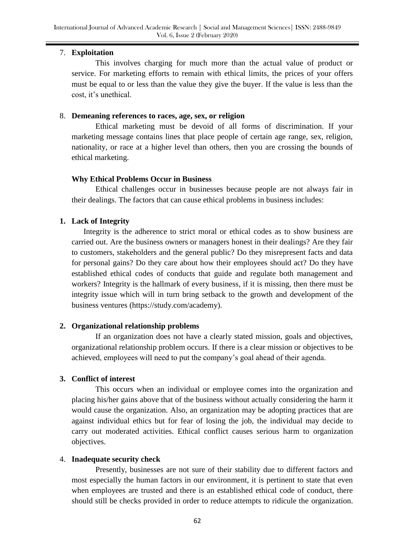## 7. **Exploitation**

This involves charging for much more than the actual value of product or service. For marketing efforts to remain with ethical limits, the prices of your offers must be equal to or less than the value they give the buyer. If the value is less than the cost, it's unethical.

# 8. **Demeaning references to races, age, sex, or religion**

Ethical marketing must be devoid of all forms of discrimination. If your marketing message contains lines that place people of certain age range, sex, religion, nationality, or race at a higher level than others, then you are crossing the bounds of ethical marketing.

## **Why Ethical Problems Occur in Business**

Ethical challenges occur in businesses because people are not always fair in their dealings. The factors that can cause ethical problems in business includes:

## **1. Lack of Integrity**

Integrity is the adherence to strict moral or ethical codes as to show business are carried out. Are the business owners or managers honest in their dealings? Are they fair to customers, stakeholders and the general public? Do they misrepresent facts and data for personal gains? Do they care about how their employees should act? Do they have established ethical codes of conducts that guide and regulate both management and workers? Integrity is the hallmark of every business, if it is missing, then there must be integrity issue which will in turn bring setback to the growth and development of the business ventures (https://study.com/academy).

## **2. Organizational relationship problems**

If an organization does not have a clearly stated mission, goals and objectives, organizational relationship problem occurs. If there is a clear mission or objectives to be achieved, employees will need to put the company's goal ahead of their agenda.

## **3. Conflict of interest**

This occurs when an individual or employee comes into the organization and placing his/her gains above that of the business without actually considering the harm it would cause the organization. Also, an organization may be adopting practices that are against individual ethics but for fear of losing the job, the individual may decide to carry out moderated activities. Ethical conflict causes serious harm to organization objectives.

## 4. **Inadequate security check**

Presently, businesses are not sure of their stability due to different factors and most especially the human factors in our environment, it is pertinent to state that even when employees are trusted and there is an established ethical code of conduct, there should still be checks provided in order to reduce attempts to ridicule the organization.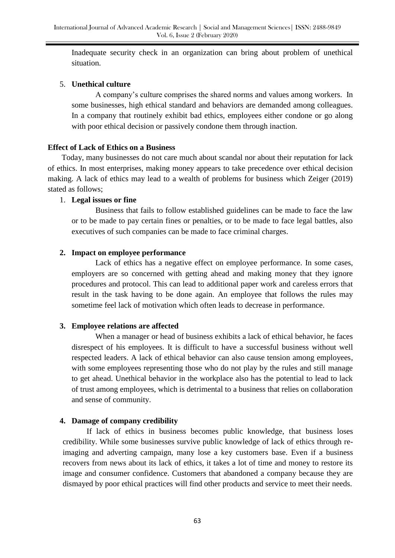Inadequate security check in an organization can bring about problem of unethical situation.

## 5. **Unethical culture**

A company's culture comprises the shared norms and values among workers. In some businesses, high ethical standard and behaviors are demanded among colleagues. In a company that routinely exhibit bad ethics, employees either condone or go along with poor ethical decision or passively condone them through inaction.

# **Effect of Lack of Ethics on a Business**

 Today, many businesses do not care much about scandal nor about their reputation for lack of ethics. In most enterprises, making money appears to take precedence over ethical decision making. A lack of ethics may lead to a wealth of problems for business which Zeiger (2019) stated as follows;

# 1. **Legal issues or fine**

Business that fails to follow established guidelines can be made to face the law or to be made to pay certain fines or penalties, or to be made to face legal battles, also executives of such companies can be made to face criminal charges.

# **2. Impact on employee performance**

Lack of ethics has a negative effect on employee performance. In some cases, employers are so concerned with getting ahead and making money that they ignore procedures and protocol. This can lead to additional paper work and careless errors that result in the task having to be done again. An employee that follows the rules may sometime feel lack of motivation which often leads to decrease in performance.

# **3. Employee relations are affected**

When a manager or head of business exhibits a lack of ethical behavior, he faces disrespect of his employees. It is difficult to have a successful business without well respected leaders. A lack of ethical behavior can also cause tension among employees, with some employees representing those who do not play by the rules and still manage to get ahead. Unethical behavior in the workplace also has the potential to lead to lack of trust among employees, which is detrimental to a business that relies on collaboration and sense of community.

## **4. Damage of company credibility**

 If lack of ethics in business becomes public knowledge, that business loses credibility. While some businesses survive public knowledge of lack of ethics through reimaging and adverting campaign, many lose a key customers base. Even if a business recovers from news about its lack of ethics, it takes a lot of time and money to restore its image and consumer confidence. Customers that abandoned a company because they are dismayed by poor ethical practices will find other products and service to meet their needs.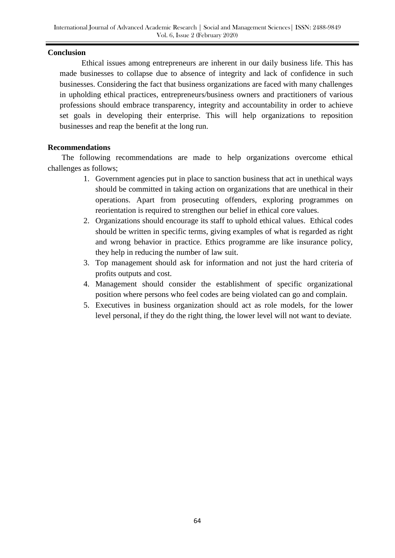#### **Conclusion**

 Ethical issues among entrepreneurs are inherent in our daily business life. This has made businesses to collapse due to absence of integrity and lack of confidence in such businesses. Considering the fact that business organizations are faced with many challenges in upholding ethical practices, entrepreneurs/business owners and practitioners of various professions should embrace transparency, integrity and accountability in order to achieve set goals in developing their enterprise. This will help organizations to reposition businesses and reap the benefit at the long run.

## **Recommendations**

 The following recommendations are made to help organizations overcome ethical challenges as follows;

- 1. Government agencies put in place to sanction business that act in unethical ways should be committed in taking action on organizations that are unethical in their operations. Apart from prosecuting offenders, exploring programmes on reorientation is required to strengthen our belief in ethical core values.
- 2. Organizations should encourage its staff to uphold ethical values. Ethical codes should be written in specific terms, giving examples of what is regarded as right and wrong behavior in practice. Ethics programme are like insurance policy, they help in reducing the number of law suit.
- 3. Top management should ask for information and not just the hard criteria of profits outputs and cost.
- 4. Management should consider the establishment of specific organizational position where persons who feel codes are being violated can go and complain.
- 5. Executives in business organization should act as role models, for the lower level personal, if they do the right thing, the lower level will not want to deviate.